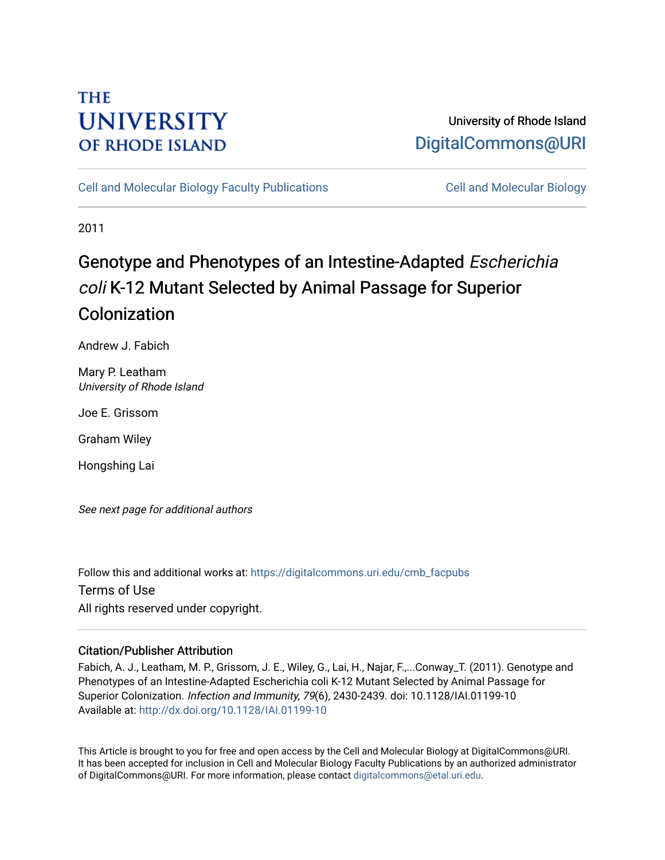# **THE UNIVERSITY OF RHODE ISLAND**

## University of Rhode Island [DigitalCommons@URI](https://digitalcommons.uri.edu/)

[Cell and Molecular Biology Faculty Publications](https://digitalcommons.uri.edu/cmb_facpubs) [Cell and Molecular Biology](https://digitalcommons.uri.edu/cmb) 

2011

# Genotype and Phenotypes of an Intestine-Adapted Escherichia coli K-12 Mutant Selected by Animal Passage for Superior Colonization

Andrew J. Fabich

Mary P. Leatham University of Rhode Island

Joe E. Grissom

Graham Wiley

Hongshing Lai

See next page for additional authors

Follow this and additional works at: [https://digitalcommons.uri.edu/cmb\\_facpubs](https://digitalcommons.uri.edu/cmb_facpubs?utm_source=digitalcommons.uri.edu%2Fcmb_facpubs%2F77&utm_medium=PDF&utm_campaign=PDFCoverPages)  Terms of Use All rights reserved under copyright.

### Citation/Publisher Attribution

Fabich, A. J., Leatham, M. P., Grissom, J. E., Wiley, G., Lai, H., Najar, F.,...Conway\_T. (2011). Genotype and Phenotypes of an Intestine-Adapted Escherichia coli K-12 Mutant Selected by Animal Passage for Superior Colonization. Infection and Immunity, 79(6), 2430-2439. doi: 10.1128/IAI.01199-10 Available at:<http://dx.doi.org/10.1128/IAI.01199-10>

This Article is brought to you for free and open access by the Cell and Molecular Biology at DigitalCommons@URI. It has been accepted for inclusion in Cell and Molecular Biology Faculty Publications by an authorized administrator of DigitalCommons@URI. For more information, please contact [digitalcommons@etal.uri.edu](mailto:digitalcommons@etal.uri.edu).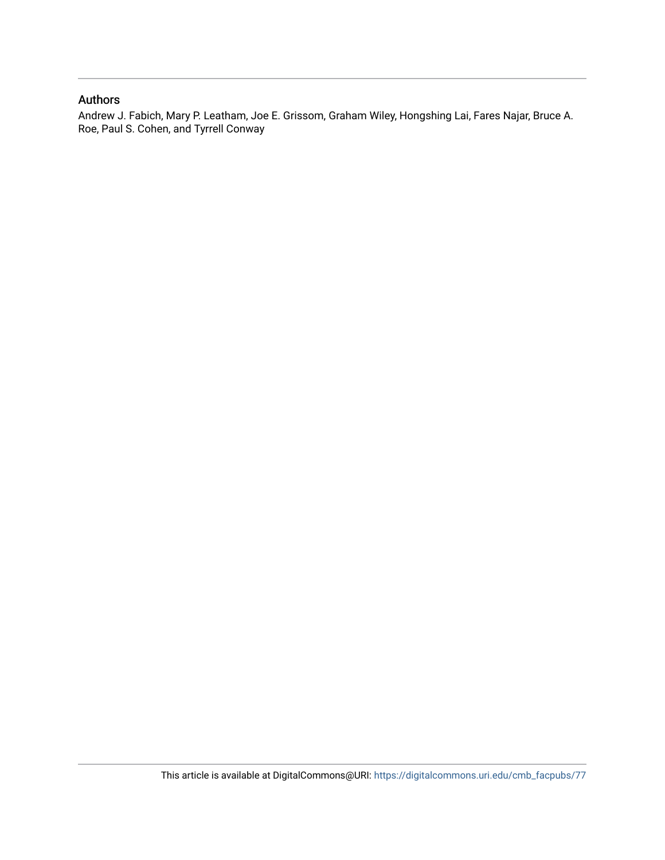### Authors

Andrew J. Fabich, Mary P. Leatham, Joe E. Grissom, Graham Wiley, Hongshing Lai, Fares Najar, Bruce A. Roe, Paul S. Cohen, and Tyrrell Conway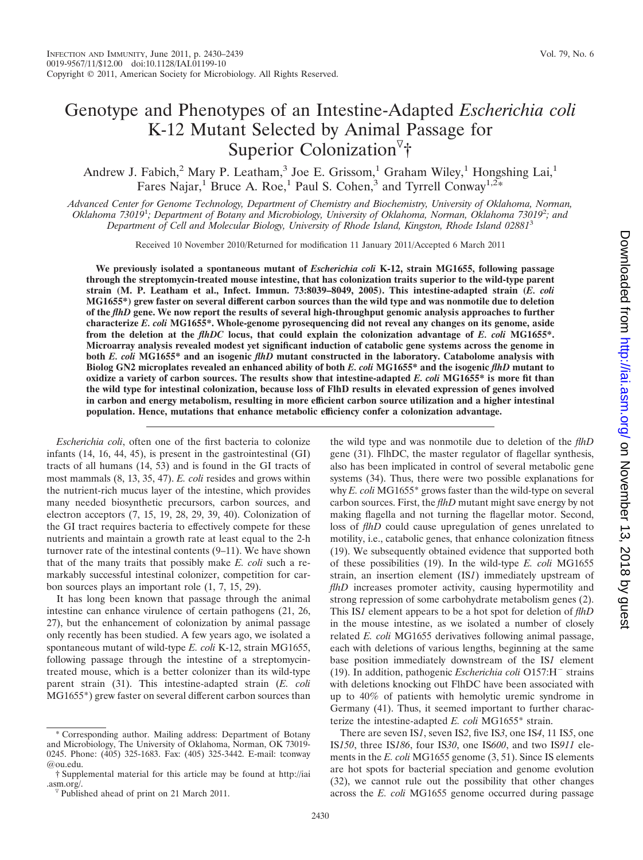## Genotype and Phenotypes of an Intestine-Adapted *Escherichia coli* K-12 Mutant Selected by Animal Passage for Superior Colonization<sup>7</sup>†

Andrew J. Fabich,<sup>2</sup> Mary P. Leatham,<sup>3</sup> Joe E. Grissom,<sup>1</sup> Graham Wiley,<sup>1</sup> Hongshing Lai,<sup>1</sup> Fares Najar,<sup>1</sup> Bruce A. Roe,<sup>1</sup> Paul S. Cohen,<sup>3</sup> and Tyrrell Conway<sup>1,2\*</sup>

*Advanced Center for Genome Technology, Department of Chemistry and Biochemistry, University of Oklahoma, Norman, Oklahoma 73019*<sup>1</sup> *; Department of Botany and Microbiology, University of Oklahoma, Norman, Oklahoma 73019*<sup>2</sup> *; and Department of Cell and Molecular Biology, University of Rhode Island, Kingston, Rhode Island 02881*<sup>3</sup>

Received 10 November 2010/Returned for modification 11 January 2011/Accepted 6 March 2011

**We previously isolated a spontaneous mutant of** *Escherichia coli* **K-12, strain MG1655, following passage through the streptomycin-treated mouse intestine, that has colonization traits superior to the wild-type parent strain (M. P. Leatham et al., Infect. Immun. 73:8039–8049, 2005). This intestine-adapted strain (***E. coli* **MG1655\*) grew faster on several different carbon sources than the wild type and was nonmotile due to deletion of the** *flhD* **gene. We now report the results of several high-throughput genomic analysis approaches to further characterize** *E. coli* **MG1655\*. Whole-genome pyrosequencing did not reveal any changes on its genome, aside from the deletion at the** *flhDC* **locus, that could explain the colonization advantage of** *E. coli* **MG1655\*. Microarray analysis revealed modest yet significant induction of catabolic gene systems across the genome in both** *E. coli* **MG1655\* and an isogenic** *flhD* **mutant constructed in the laboratory. Catabolome analysis with Biolog GN2 microplates revealed an enhanced ability of both** *E. coli* **MG1655\* and the isogenic** *flhD* **mutant to oxidize a variety of carbon sources. The results show that intestine-adapted** *E. coli* **MG1655\* is more fit than the wild type for intestinal colonization, because loss of FlhD results in elevated expression of genes involved in carbon and energy metabolism, resulting in more efficient carbon source utilization and a higher intestinal population. Hence, mutations that enhance metabolic efficiency confer a colonization advantage.**

*Escherichia coli*, often one of the first bacteria to colonize infants (14, 16, 44, 45), is present in the gastrointestinal (GI) tracts of all humans (14, 53) and is found in the GI tracts of most mammals (8, 13, 35, 47). *E. coli* resides and grows within the nutrient-rich mucus layer of the intestine, which provides many needed biosynthetic precursors, carbon sources, and electron acceptors (7, 15, 19, 28, 29, 39, 40). Colonization of the GI tract requires bacteria to effectively compete for these nutrients and maintain a growth rate at least equal to the 2-h turnover rate of the intestinal contents (9–11). We have shown that of the many traits that possibly make *E. coli* such a remarkably successful intestinal colonizer, competition for carbon sources plays an important role (1, 7, 15, 29).

It has long been known that passage through the animal intestine can enhance virulence of certain pathogens (21, 26, 27), but the enhancement of colonization by animal passage only recently has been studied. A few years ago, we isolated a spontaneous mutant of wild-type *E. coli* K-12, strain MG1655, following passage through the intestine of a streptomycintreated mouse, which is a better colonizer than its wild-type parent strain (31). This intestine-adapted strain (*E. coli* MG1655\*) grew faster on several different carbon sources than

the wild type and was nonmotile due to deletion of the *flhD* gene (31). FlhDC, the master regulator of flagellar synthesis, also has been implicated in control of several metabolic gene systems (34). Thus, there were two possible explanations for why *E. coli* MG1655\* grows faster than the wild-type on several carbon sources. First, the *flhD* mutant might save energy by not making flagella and not turning the flagellar motor. Second, loss of *flhD* could cause upregulation of genes unrelated to motility, i.e., catabolic genes, that enhance colonization fitness (19). We subsequently obtained evidence that supported both of these possibilities (19). In the wild-type *E. coli* MG1655 strain, an insertion element (IS*1*) immediately upstream of *flhD* increases promoter activity, causing hypermotility and strong repression of some carbohydrate metabolism genes (2). This IS*1* element appears to be a hot spot for deletion of *flhD* in the mouse intestine, as we isolated a number of closely related *E. coli* MG1655 derivatives following animal passage, each with deletions of various lengths, beginning at the same base position immediately downstream of the IS*1* element (19). In addition, pathogenic *Escherichia coli* O157:H<sup>-</sup> strains with deletions knocking out FlhDC have been associated with up to 40% of patients with hemolytic uremic syndrome in Germany (41). Thus, it seemed important to further characterize the intestine-adapted *E. coli* MG1655\* strain.

There are seven IS*1*, seven IS*2*, five IS*3*, one IS*4*, 11 IS*5*, one IS*150*, three IS*186*, four IS*30*, one IS*600*, and two IS*911* elements in the *E. coli* MG1655 genome (3, 51). Since IS elements are hot spots for bacterial speciation and genome evolution (32), we cannot rule out the possibility that other changes across the *E. coli* MG1655 genome occurred during passage

Corresponding author. Mailing address: Department of Botany and Microbiology, The University of Oklahoma, Norman, OK 73019- 0245. Phone: (405) 325-1683. Fax: (405) 325-3442. E-mail: tconway @ou.edu.

<sup>†</sup> Supplemental material for this article may be found at http://iai .asm.org/.<br><sup> $\sqrt{v}$ </sup> Published ahead of print on 21 March 2011.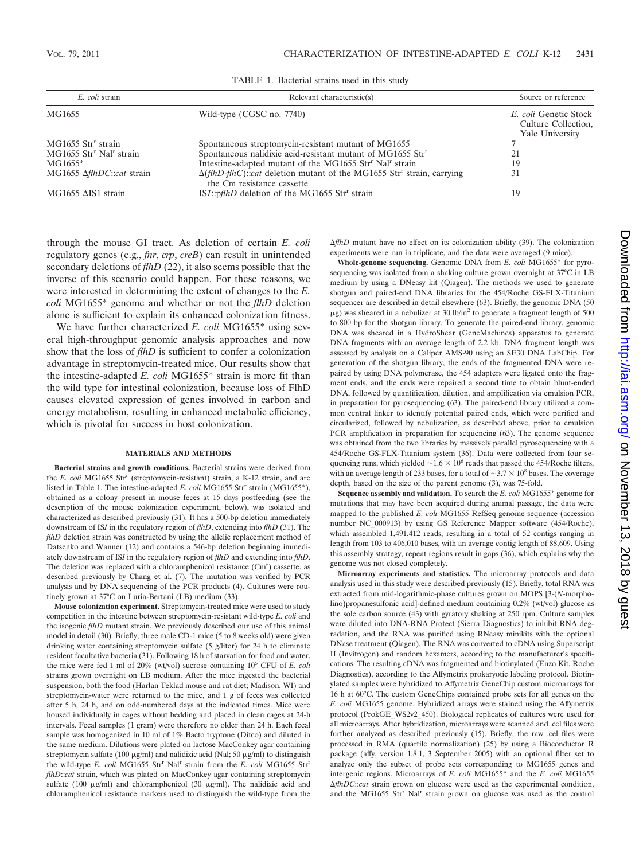| E. coli strain                                  | Relevant characteristic(s)                                                                                                               | Source or reference                                             |
|-------------------------------------------------|------------------------------------------------------------------------------------------------------------------------------------------|-----------------------------------------------------------------|
| MG1655                                          | Wild-type (CGSC no. 7740)                                                                                                                | E. coli Genetic Stock<br>Culture Collection,<br>Yale University |
| $MG1655$ Str <sup>r</sup> strain                | Spontaneous streptomycin-resistant mutant of MG1655                                                                                      |                                                                 |
| MG1655 Str <sup>r</sup> Nal <sup>r</sup> strain | Spontaneous nalidixic acid-resistant mutant of MG1655 Str <sup>r</sup>                                                                   | 21                                                              |
| $MG1655*$                                       | Intestine-adapted mutant of the MG1655 Str <sup>r</sup> Nal <sup>r</sup> strain                                                          | 19                                                              |
| MG1655 AfthDC::cat strain                       | $\Delta$ ( <i>flhD-flhC</i> ):: <i>cat</i> deletion mutant of the MG1655 Str <sup>r</sup> strain, carrying<br>the Cm resistance cassette | 31                                                              |
| $MG1655$ $\Delta$ IS1 strain                    | ISI::pflhD deletion of the MG1655 Str <sup>r</sup> strain                                                                                | 19                                                              |

TABLE 1. Bacterial strains used in this study

through the mouse GI tract. As deletion of certain *E. coli* regulatory genes (e.g., *fnr*, *crp*, *creB*) can result in unintended secondary deletions of *flhD* (22), it also seems possible that the inverse of this scenario could happen. For these reasons, we were interested in determining the extent of changes to the *E. coli* MG1655\* genome and whether or not the *flhD* deletion alone is sufficient to explain its enhanced colonization fitness.

We have further characterized *E. coli* MG1655\* using several high-throughput genomic analysis approaches and now show that the loss of *flhD* is sufficient to confer a colonization advantage in streptomycin-treated mice. Our results show that the intestine-adapted *E. coli* MG1655\* strain is more fit than the wild type for intestinal colonization, because loss of FlhD causes elevated expression of genes involved in carbon and energy metabolism, resulting in enhanced metabolic efficiency, which is pivotal for success in host colonization.

#### **MATERIALS AND METHODS**

**Bacterial strains and growth conditions.** Bacterial strains were derived from the *E. coli* MG1655 Str<sup>r</sup> (streptomycin-resistant) strain, a K-12 strain, and are listed in Table 1. The intestine-adapted *E. coli* MG1655 Str<sup>r</sup> strain (MG1655<sup>\*</sup>), obtained as a colony present in mouse feces at 15 days postfeeding (see the description of the mouse colonization experiment, below), was isolated and characterized as described previously (31). It has a 500-bp deletion immediately downstream of IS*I* in the regulatory region of *flhD*, extending into *flhD* (31). The *flhD* deletion strain was constructed by using the allelic replacement method of Datsenko and Wanner (12) and contains a 546-bp deletion beginning immediately downstream of IS*I* in the regulatory region of *flhD* and extending into *flhD*. The deletion was replaced with a chloramphenicol resistance (Cm<sup>r</sup>) cassette, as described previously by Chang et al. (7). The mutation was verified by PCR analysis and by DNA sequencing of the PCR products (4). Cultures were routinely grown at 37°C on Luria-Bertani (LB) medium (33).

**Mouse colonization experiment.** Streptomycin-treated mice were used to study competition in the intestine between streptomycin-resistant wild-type *E. coli* and the isogenic *flhD* mutant strain. We previously described our use of this animal model in detail (30). Briefly, three male CD-1 mice (5 to 8 weeks old) were given drinking water containing streptomycin sulfate (5 g/liter) for 24 h to eliminate resident facultative bacteria (31). Following 18 h of starvation for food and water, the mice were fed 1 ml of  $20\%$  (wt/vol) sucrose containing  $10^5$  CFU of *E. coli* strains grown overnight on LB medium. After the mice ingested the bacterial suspension, both the food (Harlan Teklad mouse and rat diet; Madison, WI) and streptomycin-water were returned to the mice, and 1 g of feces was collected after 5 h, 24 h, and on odd-numbered days at the indicated times. Mice were housed individually in cages without bedding and placed in clean cages at 24-h intervals. Fecal samples (1 gram) were therefore no older than 24 h. Each fecal sample was homogenized in 10 ml of 1% Bacto tryptone (Difco) and diluted in the same medium. Dilutions were plated on lactose MacConkey agar containing streptomycin sulfate (100  $\mu$ g/ml) and nalidixic acid (Nal; 50  $\mu$ g/ml) to distinguish the wild-type *E. coli* MG1655 Str<sup>r</sup> Nal<sup>r</sup> strain from the *E. coli* MG1655 Str<sup>r</sup> *flhD*::*cat* strain, which was plated on MacConkey agar containing streptomycin sulfate (100  $\mu$ g/ml) and chloramphenicol (30  $\mu$ g/ml). The nalidixic acid and chloramphenicol resistance markers used to distinguish the wild-type from the *flhD* mutant have no effect on its colonization ability (39). The colonization experiments were run in triplicate, and the data were averaged (9 mice).

**Whole-genome sequencing.** Genomic DNA from *E. coli* MG1655\* for pyrosequencing was isolated from a shaking culture grown overnight at 37°C in LB medium by using a DNeasy kit (Qiagen). The methods we used to generate shotgun and paired-end DNA libraries for the 454/Roche GS-FLX-Titanium sequencer are described in detail elsewhere (63). Briefly, the genomic DNA (50  $\mu$ g) was sheared in a nebulizer at 30 lb/in<sup>2</sup> to generate a fragment length of 500 to 800 bp for the shotgun library. To generate the paired-end library, genomic DNA was sheared in a HydroShear (GeneMachines) apparatus to generate DNA fragments with an average length of 2.2 kb. DNA fragment length was assessed by analysis on a Caliper AMS-90 using an SE30 DNA LabChip. For generation of the shotgun library, the ends of the fragmented DNA were repaired by using DNA polymerase, the 454 adapters were ligated onto the fragment ends, and the ends were repaired a second time to obtain blunt-ended DNA, followed by quantification, dilution, and amplification via emulsion PCR, in preparation for pyrosequencing (63). The paired-end library utilized a common central linker to identify potential paired ends, which were purified and circularized, followed by nebulization, as described above, prior to emulsion PCR amplification in preparation for sequencing (63). The genome sequence was obtained from the two libraries by massively parallel pyrosequencing with a 454/Roche GS-FLX-Titanium system (36). Data were collected from four sequencing runs, which yielded  $\sim$  1.6  $\times$  10<sup>6</sup> reads that passed the 454/Roche filters, with an average length of 233 bases, for a total of  $\sim$ 3.7  $\times$  10<sup>8</sup> bases. The coverage depth, based on the size of the parent genome (3), was 75-fold.

**Sequence assembly and validation.** To search the *E. coli* MG1655\* genome for mutations that may have been acquired during animal passage, the data were mapped to the published *E. coli* MG1655 RefSeq genome sequence (accession number NC\_000913) by using GS Reference Mapper software (454/Roche), which assembled 1,491,412 reads, resulting in a total of 52 contigs ranging in length from 103 to 406,010 bases, with an average contig length of 88,609. Using this assembly strategy, repeat regions result in gaps (36), which explains why the genome was not closed completely.

**Microarray experiments and statistics.** The microarray protocols and data analysis used in this study were described previously (15). Briefly, total RNA was extracted from mid-logarithmic-phase cultures grown on MOPS [3-(*N*-morpholino)propanesulfonic acid]-defined medium containing 0.2% (wt/vol) glucose as the sole carbon source (43) with gyratory shaking at 250 rpm. Culture samples were diluted into DNA-RNA Protect (Sierra Diagnostics) to inhibit RNA degradation, and the RNA was purified using RNeasy minikits with the optional DNase treatment (Qiagen). The RNA was converted to cDNA using Superscript II (Invitrogen) and random hexamers, according to the manufacturer's specifications. The resulting cDNA was fragmented and biotinylated (Enzo Kit, Roche Diagnostics), according to the Affymetrix prokaryotic labeling protocol. Biotinylated samples were hybridized to Affymetrix GeneChip custom microarrays for 16 h at 60°C. The custom GeneChips contained probe sets for all genes on the *E. coli* MG1655 genome. Hybridized arrays were stained using the Affymetrix protocol (ProkGE\_WS2v2\_450). Biological replicates of cultures were used for all microarrays. After hybridization, microarrays were scanned and .cel files were further analyzed as described previously (15). Briefly, the raw .cel files were processed in RMA (quartile normalization) (25) by using a Bioconductor R package (affy, version 1.8.1, 3 September 2005) with an optional filter set to analyze only the subset of probe sets corresponding to MG1655 genes and intergenic regions. Microarrays of *E. coli* MG1655\* and the *E. coli* MG1655 *AflhDC::cat* strain grown on glucose were used as the experimental condition, and the MG1655 Str<sup>r</sup> Nal<sup>r</sup> strain grown on glucose was used as the control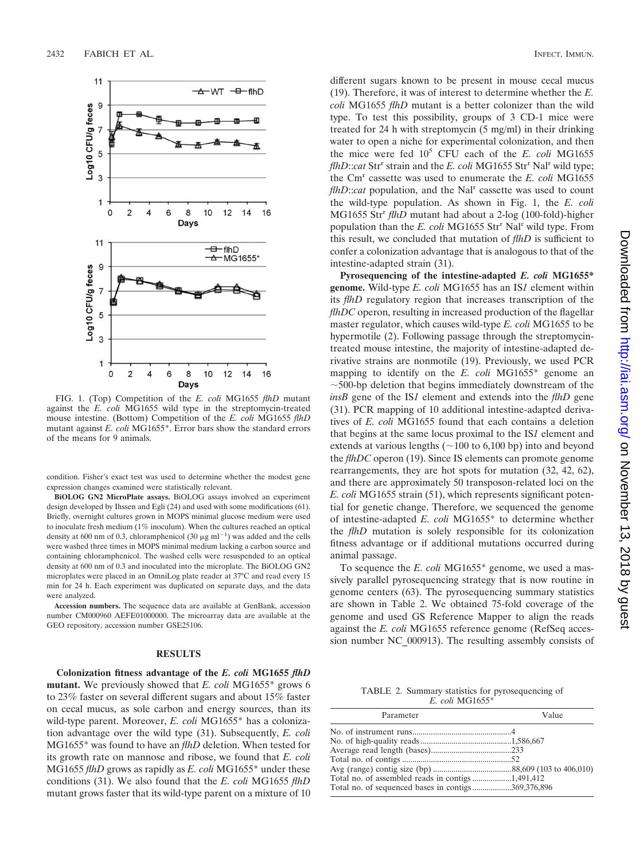

FIG. 1. (Top) Competition of the *E. coli* MG1655 *flhD* mutant against the *E. coli* MG1655 wild type in the streptomycin-treated mouse intestine. (Bottom) Competition of the *E. coli* MG1655 *flhD* mutant against *E. coli* MG1655\*. Error bars show the standard errors of the means for 9 animals.

condition. Fisher's exact test was used to determine whether the modest gene expression changes examined were statistically relevant.

**BiOLOG GN2 MicroPlate assays.** BiOLOG assays involved an experiment design developed by Ihssen and Egli (24) and used with some modifications (61). Briefly, overnight cultures grown in MOPS minimal glucose medium were used to inoculate fresh medium (1% inoculum). When the cultures reached an optical density at 600 nm of 0.3, chloramphenicol (30  $\mu$ g ml<sup>-1</sup>) was added and the cells were washed three times in MOPS minimal medium lacking a carbon source and containing chloramphenicol. The washed cells were resuspended to an optical density at 600 nm of 0.3 and inoculated into the microplate. The BiOLOG GN2 microplates were placed in an OmniLog plate reader at 37°C and read every 15 min for 24 h. Each experiment was duplicated on separate days, and the data were analyzed.

**Accession numbers.** The sequence data are available at GenBank, accession number CM000960 AEFE01000000. The microarray data are available at the GEO repository, accession number GSE25106.

#### **RESULTS**

**Colonization fitness advantage of the** *E. coli* **MG1655** *flhD* **mutant.** We previously showed that *E. coli* MG1655\* grows 6 to 23% faster on several different sugars and about 15% faster on cecal mucus, as sole carbon and energy sources, than its wild-type parent. Moreover, *E. coli* MG1655\* has a colonization advantage over the wild type (31). Subsequently, *E. coli* MG1655\* was found to have an *flhD* deletion. When tested for its growth rate on mannose and ribose, we found that *E. coli* MG1655 *flhD* grows as rapidly as *E. coli* MG1655\* under these conditions (31). We also found that the *E. coli* MG1655 *flhD* mutant grows faster that its wild-type parent on a mixture of 10

different sugars known to be present in mouse cecal mucus (19). Therefore, it was of interest to determine whether the *E. coli* MG1655 *flhD* mutant is a better colonizer than the wild type. To test this possibility, groups of 3 CD-1 mice were treated for 24 h with streptomycin (5 mg/ml) in their drinking water to open a niche for experimental colonization, and then the mice were fed 105 CFU each of the *E. coli* MG1655 *flhD*::*cat* Str<sup>r</sup> strain and the *E. coli* MG1655 Str<sup>r</sup> Nal<sup>r</sup> wild type; the Cmr cassette was used to enumerate the *E. coli* MG1655 *flhD*::*cat* population, and the Nal<sup>r</sup> cassette was used to count the wild-type population. As shown in Fig. 1, the *E. coli* MG1655 Str<sup>r</sup> flhD mutant had about a 2-log (100-fold)-higher population than the *E. coli* MG1655 Str<sup>r</sup> Nal<sup>r</sup> wild type. From this result, we concluded that mutation of *flhD* is sufficient to confer a colonization advantage that is analogous to that of the intestine-adapted strain (31).

**Pyrosequencing of the intestine-adapted** *E. coli* **MG1655\* genome.** Wild-type *E. coli* MG1655 has an IS*1* element within its *flhD* regulatory region that increases transcription of the *flhDC* operon, resulting in increased production of the flagellar master regulator, which causes wild-type *E. coli* MG1655 to be hypermotile (2). Following passage through the streptomycintreated mouse intestine, the majority of intestine-adapted derivative strains are nonmotile (19). Previously, we used PCR mapping to identify on the *E. coli* MG1655\* genome an  $\sim$  500-bp deletion that begins immediately downstream of the *insB* gene of the IS*1* element and extends into the *flhD* gene (31). PCR mapping of 10 additional intestine-adapted derivatives of *E. coli* MG1655 found that each contains a deletion that begins at the same locus proximal to the IS*1* element and extends at various lengths  $(\sim 100$  to 6,100 bp) into and beyond the *flhDC* operon (19). Since IS elements can promote genome rearrangements, they are hot spots for mutation (32, 42, 62), and there are approximately 50 transposon-related loci on the *E. coli* MG1655 strain (51), which represents significant potential for genetic change. Therefore, we sequenced the genome of intestine-adapted *E. coli* MG1655\* to determine whether the *flhD* mutation is solely responsible for its colonization fitness advantage or if additional mutations occurred during animal passage.

To sequence the *E. coli* MG1655\* genome, we used a massively parallel pyrosequencing strategy that is now routine in genome centers (63). The pyrosequencing summary statistics are shown in Table 2. We obtained 75-fold coverage of the genome and used GS Reference Mapper to align the reads against the *E. coli* MG1655 reference genome (RefSeq accession number NC\_000913). The resulting assembly consists of

TABLE 2. Summary statistics for pyrosequencing of *E. coli* MG1655\*

| Parameter                                          | Value |
|----------------------------------------------------|-------|
|                                                    |       |
|                                                    |       |
|                                                    |       |
|                                                    |       |
|                                                    |       |
|                                                    |       |
| Total no. of sequenced bases in contigs369,376,896 |       |
|                                                    |       |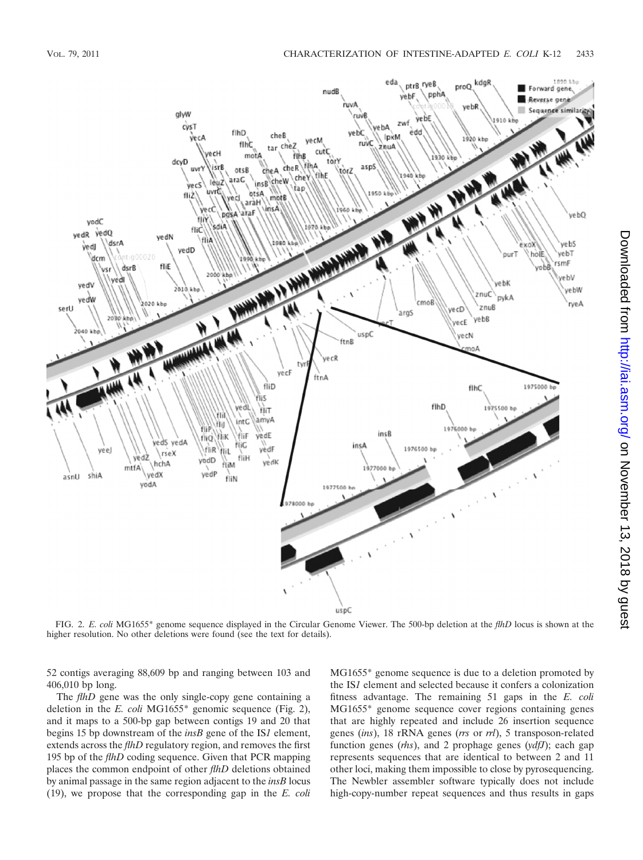

FIG. 2. *E. coli* MG1655\* genome sequence displayed in the Circular Genome Viewer. The 500-bp deletion at the *flhD* locus is shown at the higher resolution. No other deletions were found (see the text for details).

52 contigs averaging 88,609 bp and ranging between 103 and 406,010 bp long.

The *flhD* gene was the only single-copy gene containing a deletion in the *E. coli* MG1655\* genomic sequence (Fig. 2), and it maps to a 500-bp gap between contigs 19 and 20 that begins 15 bp downstream of the *insB* gene of the IS*1* element, extends across the *flhD* regulatory region, and removes the first 195 bp of the *flhD* coding sequence. Given that PCR mapping places the common endpoint of other *flhD* deletions obtained by animal passage in the same region adjacent to the *insB* locus (19), we propose that the corresponding gap in the *E. coli*

MG1655\* genome sequence is due to a deletion promoted by the IS*1* element and selected because it confers a colonization fitness advantage. The remaining 51 gaps in the *E. coli* MG1655\* genome sequence cover regions containing genes that are highly repeated and include 26 insertion sequence genes (*ins*), 18 rRNA genes (*rrs* or *rrl*), 5 transposon-related function genes (*rhs*), and 2 prophage genes (*ydfJ*); each gap represents sequences that are identical to between 2 and 11 other loci, making them impossible to close by pyrosequencing. The Newbler assembler software typically does not include high-copy-number repeat sequences and thus results in gaps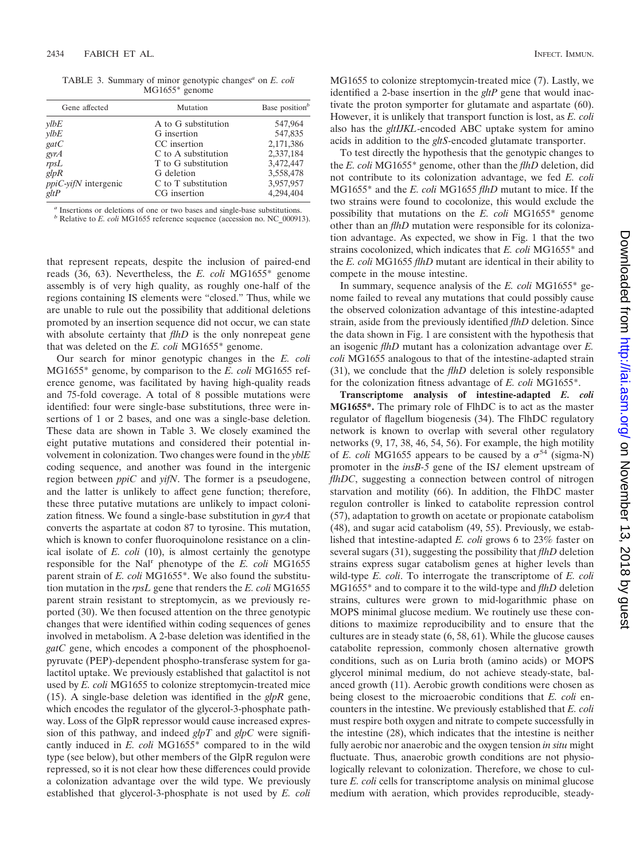| TABLE 3. Summary of minor genotypic changes <sup>a</sup> on <i>E. coli</i> |  |  |  |
|----------------------------------------------------------------------------|--|--|--|
| $MG1655*$ genome                                                           |  |  |  |

| Gene affected           | Mutation            | Base position <sup>b</sup> |
|-------------------------|---------------------|----------------------------|
| vlbE                    | A to G substitution | 547,964                    |
| vlbE                    | G insertion         | 547,835                    |
| gatC                    | CC insertion        | 2,171,386                  |
| gyrA                    | C to A substitution | 2,337,184                  |
| rpsL                    | T to G substitution | 3,472,447                  |
| glpR                    | G deletion          | 3,558,478                  |
| $ppiC$ -vifN intergenic | C to T substitution | 3,957,957                  |
| gltP                    | CG insertion        | 4,294,404                  |

*<sup>a</sup>* Insertions or deletions of one or two bases and single-base substitutions. *<sup>b</sup>* Relative to *E. coli* MG1655 reference sequence (accession no. NC\_000913).

that represent repeats, despite the inclusion of paired-end reads (36, 63). Nevertheless, the *E. coli* MG1655\* genome assembly is of very high quality, as roughly one-half of the regions containing IS elements were "closed." Thus, while we are unable to rule out the possibility that additional deletions promoted by an insertion sequence did not occur, we can state with absolute certainty that *flhD* is the only nonrepeat gene that was deleted on the *E. coli* MG1655\* genome.

Our search for minor genotypic changes in the *E. coli* MG1655\* genome, by comparison to the *E. coli* MG1655 reference genome, was facilitated by having high-quality reads and 75-fold coverage. A total of 8 possible mutations were identified: four were single-base substitutions, three were insertions of 1 or 2 bases, and one was a single-base deletion. These data are shown in Table 3. We closely examined the eight putative mutations and considered their potential involvement in colonization. Two changes were found in the *yblE* coding sequence, and another was found in the intergenic region between *ppiC* and *yifN*. The former is a pseudogene, and the latter is unlikely to affect gene function; therefore, these three putative mutations are unlikely to impact colonization fitness. We found a single-base substitution in *gyrA* that converts the aspartate at codon 87 to tyrosine. This mutation, which is known to confer fluoroquinolone resistance on a clinical isolate of *E. coli* (10), is almost certainly the genotype responsible for the Nal<sup>r</sup> phenotype of the *E. coli* MG1655 parent strain of *E. coli* MG1655\*. We also found the substitution mutation in the *rpsL* gene that renders the *E. coli* MG1655 parent strain resistant to streptomycin, as we previously reported (30). We then focused attention on the three genotypic changes that were identified within coding sequences of genes involved in metabolism. A 2-base deletion was identified in the *gatC* gene, which encodes a component of the phosphoenolpyruvate (PEP)-dependent phospho-transferase system for galactitol uptake. We previously established that galactitol is not used by *E. coli* MG1655 to colonize streptomycin-treated mice (15). A single-base deletion was identified in the *glpR* gene, which encodes the regulator of the glycerol-3-phosphate pathway. Loss of the GlpR repressor would cause increased expression of this pathway, and indeed *glpT* and *glpC* were significantly induced in *E. coli* MG1655\* compared to in the wild type (see below), but other members of the GlpR regulon were repressed, so it is not clear how these differences could provide a colonization advantage over the wild type. We previously established that glycerol-3-phosphate is not used by *E. coli* MG1655 to colonize streptomycin-treated mice (7). Lastly, we identified a 2-base insertion in the *gltP* gene that would inactivate the proton symporter for glutamate and aspartate (60). However, it is unlikely that transport function is lost, as *E. coli* also has the *gltIJKL*-encoded ABC uptake system for amino acids in addition to the *gltS*-encoded glutamate transporter.

To test directly the hypothesis that the genotypic changes to the *E. coli* MG1655\* genome, other than the *flhD* deletion, did not contribute to its colonization advantage, we fed *E. coli* MG1655\* and the *E. coli* MG1655 *flhD* mutant to mice. If the two strains were found to cocolonize, this would exclude the possibility that mutations on the *E. coli* MG1655\* genome other than an *flhD* mutation were responsible for its colonization advantage. As expected, we show in Fig. 1 that the two strains cocolonized, which indicates that *E. coli* MG1655\* and the *E. coli* MG1655 *flhD* mutant are identical in their ability to compete in the mouse intestine.

In summary, sequence analysis of the *E. coli* MG1655\* genome failed to reveal any mutations that could possibly cause the observed colonization advantage of this intestine-adapted strain, aside from the previously identified *flhD* deletion. Since the data shown in Fig. 1 are consistent with the hypothesis that an isogenic *flhD* mutant has a colonization advantage over *E. coli* MG1655 analogous to that of the intestine-adapted strain (31), we conclude that the *flhD* deletion is solely responsible for the colonization fitness advantage of *E. coli* MG1655\*.

**Transcriptome analysis of intestine-adapted** *E. coli* **MG1655\*.** The primary role of FlhDC is to act as the master regulator of flagellum biogenesis (34). The FlhDC regulatory network is known to overlap with several other regulatory networks (9, 17, 38, 46, 54, 56). For example, the high motility of *E. coli* MG1655 appears to be caused by a  $\sigma^{54}$  (sigma-N) promoter in the *insB-5* gene of the IS*1* element upstream of *flhDC*, suggesting a connection between control of nitrogen starvation and motility (66). In addition, the FlhDC master regulon controller is linked to catabolite repression control (57), adaptation to growth on acetate or propionate catabolism (48), and sugar acid catabolism (49, 55). Previously, we established that intestine-adapted *E. coli* grows 6 to 23% faster on several sugars (31), suggesting the possibility that *flhD* deletion strains express sugar catabolism genes at higher levels than wild-type *E. coli*. To interrogate the transcriptome of *E. coli* MG1655\* and to compare it to the wild-type and *flhD* deletion strains, cultures were grown to mid-logarithmic phase on MOPS minimal glucose medium. We routinely use these conditions to maximize reproducibility and to ensure that the cultures are in steady state (6, 58, 61). While the glucose causes catabolite repression, commonly chosen alternative growth conditions, such as on Luria broth (amino acids) or MOPS glycerol minimal medium, do not achieve steady-state, balanced growth (11). Aerobic growth conditions were chosen as being closest to the microaerobic conditions that *E. coli* encounters in the intestine. We previously established that *E. coli* must respire both oxygen and nitrate to compete successfully in the intestine (28), which indicates that the intestine is neither fully aerobic nor anaerobic and the oxygen tension *in situ* might fluctuate. Thus, anaerobic growth conditions are not physiologically relevant to colonization. Therefore, we chose to culture *E. coli* cells for transcriptome analysis on minimal glucose medium with aeration, which provides reproducible, steady-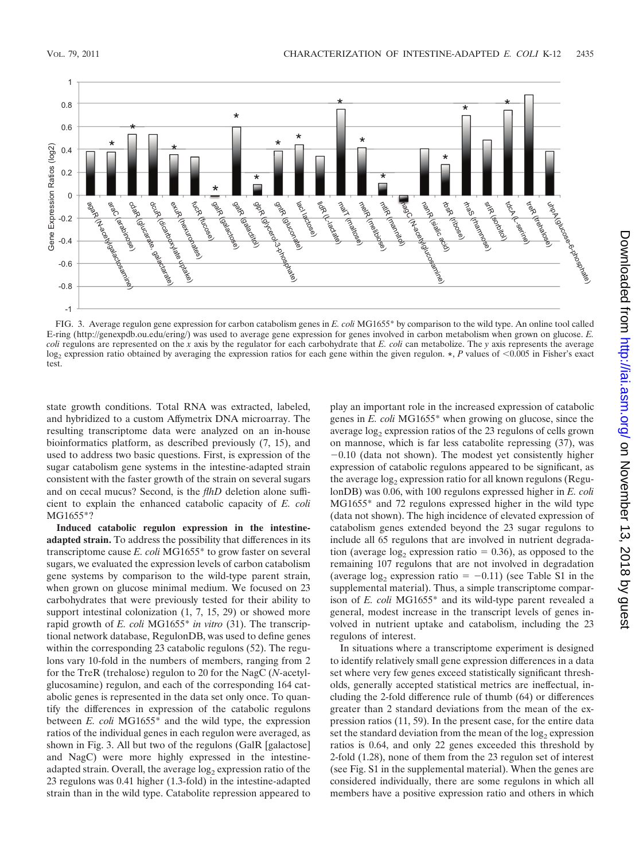

FIG. 3. Average regulon gene expression for carbon catabolism genes in *E. coli* MG1655\* by comparison to the wild type. An online tool called E-ring (http://genexpdb.ou.edu/ering/) was used to average gene expression for genes involved in carbon metabolism when grown on glucose. *E. coli* regulons are represented on the *x* axis by the regulator for each carbohydrate that *E. coli* can metabolize. The *y* axis represents the average log<sub>2</sub> expression ratio obtained by averaging the expression ratios for each gene within the given regulon.  $\star$ , *P* values of <0.005 in Fisher's exact test.

state growth conditions. Total RNA was extracted, labeled, and hybridized to a custom Affymetrix DNA microarray. The resulting transcriptome data were analyzed on an in-house bioinformatics platform, as described previously (7, 15), and used to address two basic questions. First, is expression of the sugar catabolism gene systems in the intestine-adapted strain consistent with the faster growth of the strain on several sugars and on cecal mucus? Second, is the *flhD* deletion alone sufficient to explain the enhanced catabolic capacity of *E. coli* MG1655\*?

**Induced catabolic regulon expression in the intestineadapted strain.** To address the possibility that differences in its transcriptome cause *E. coli* MG1655\* to grow faster on several sugars, we evaluated the expression levels of carbon catabolism gene systems by comparison to the wild-type parent strain, when grown on glucose minimal medium. We focused on 23 carbohydrates that were previously tested for their ability to support intestinal colonization  $(1, 7, 15, 29)$  or showed more rapid growth of *E. coli* MG1655\* *in vitro* (31). The transcriptional network database, RegulonDB, was used to define genes within the corresponding 23 catabolic regulons (52). The regulons vary 10-fold in the numbers of members, ranging from 2 for the TreR (trehalose) regulon to 20 for the NagC (*N*-acetylglucosamine) regulon, and each of the corresponding 164 catabolic genes is represented in the data set only once. To quantify the differences in expression of the catabolic regulons between *E. coli* MG1655\* and the wild type, the expression ratios of the individual genes in each regulon were averaged, as shown in Fig. 3. All but two of the regulons (GalR [galactose] and NagC) were more highly expressed in the intestineadapted strain. Overall, the average  $log<sub>2</sub>$  expression ratio of the 23 regulons was 0.41 higher (1.3-fold) in the intestine-adapted strain than in the wild type. Catabolite repression appeared to

play an important role in the increased expression of catabolic genes in *E. coli* MG1655\* when growing on glucose, since the average  $log<sub>2</sub>$  expression ratios of the 23 regulons of cells grown on mannose, which is far less catabolite repressing (37), was  $-0.10$  (data not shown). The modest yet consistently higher expression of catabolic regulons appeared to be significant, as the average  $log_2$  expression ratio for all known regulons (RegulonDB) was 0.06, with 100 regulons expressed higher in *E. coli* MG1655\* and 72 regulons expressed higher in the wild type (data not shown). The high incidence of elevated expression of catabolism genes extended beyond the 23 sugar regulons to include all 65 regulons that are involved in nutrient degradation (average  $log_2$  expression ratio = 0.36), as opposed to the remaining 107 regulons that are not involved in degradation (average  $log_2$  expression ratio = -0.11) (see Table S1 in the supplemental material). Thus, a simple transcriptome comparison of *E. coli* MG1655\* and its wild-type parent revealed a general, modest increase in the transcript levels of genes involved in nutrient uptake and catabolism, including the 23 regulons of interest.

In situations where a transcriptome experiment is designed to identify relatively small gene expression differences in a data set where very few genes exceed statistically significant thresholds, generally accepted statistical metrics are ineffectual, including the 2-fold difference rule of thumb (64) or differences greater than 2 standard deviations from the mean of the expression ratios (11, 59). In the present case, for the entire data set the standard deviation from the mean of the  $log<sub>2</sub>$  expression ratios is 0.64, and only 22 genes exceeded this threshold by 2-fold (1.28), none of them from the 23 regulon set of interest (see Fig. S1 in the supplemental material). When the genes are considered individually, there are some regulons in which all members have a positive expression ratio and others in which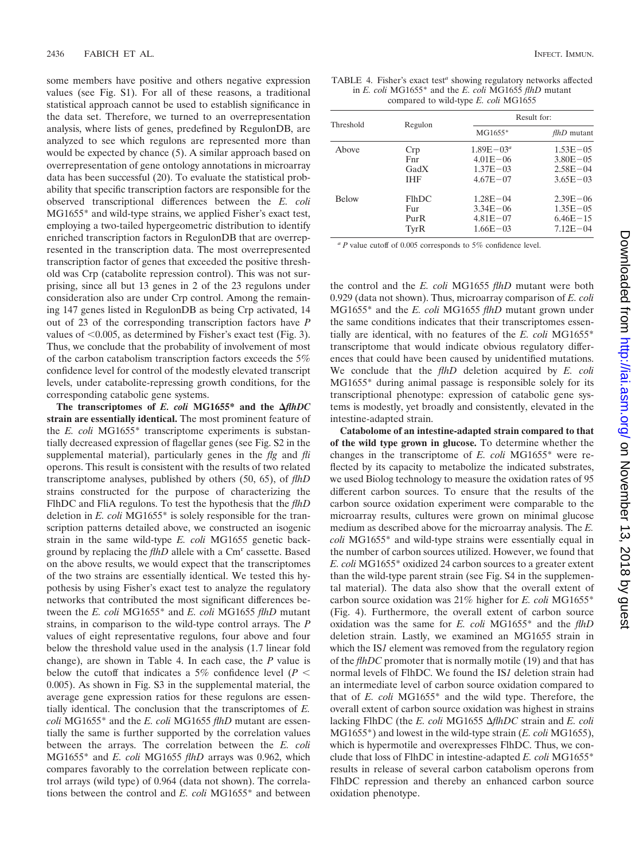some members have positive and others negative expression values (see Fig. S1). For all of these reasons, a traditional statistical approach cannot be used to establish significance in the data set. Therefore, we turned to an overrepresentation analysis, where lists of genes, predefined by RegulonDB, are analyzed to see which regulons are represented more than would be expected by chance (5). A similar approach based on overrepresentation of gene ontology annotations in microarray data has been successful (20). To evaluate the statistical probability that specific transcription factors are responsible for the observed transcriptional differences between the *E. coli* MG1655\* and wild-type strains, we applied Fisher's exact test, employing a two-tailed hypergeometric distribution to identify enriched transcription factors in RegulonDB that are overrepresented in the transcription data. The most overrepresented transcription factor of genes that exceeded the positive threshold was Crp (catabolite repression control). This was not surprising, since all but 13 genes in 2 of the 23 regulons under consideration also are under Crp control. Among the remaining 147 genes listed in RegulonDB as being Crp activated, 14 out of 23 of the corresponding transcription factors have *P* values of  $< 0.005$ , as determined by Fisher's exact test (Fig. 3). Thus, we conclude that the probability of involvement of most of the carbon catabolism transcription factors exceeds the 5% confidence level for control of the modestly elevated transcript levels, under catabolite-repressing growth conditions, for the corresponding catabolic gene systems.

The transcriptomes of  $E$ . coli MG1655\* and the  $\Delta f$ thDC **strain are essentially identical.** The most prominent feature of the *E. coli* MG1655\* transcriptome experiments is substantially decreased expression of flagellar genes (see Fig. S2 in the supplemental material), particularly genes in the *flg* and *fli* operons. This result is consistent with the results of two related transcriptome analyses, published by others (50, 65), of *flhD* strains constructed for the purpose of characterizing the FlhDC and FliA regulons. To test the hypothesis that the *flhD* deletion in *E. coli* MG1655\* is solely responsible for the transcription patterns detailed above, we constructed an isogenic strain in the same wild-type *E. coli* MG1655 genetic background by replacing the *flhD* allele with a Cm<sup>r</sup> cassette. Based on the above results, we would expect that the transcriptomes of the two strains are essentially identical. We tested this hypothesis by using Fisher's exact test to analyze the regulatory networks that contributed the most significant differences between the *E. coli* MG1655\* and *E. coli* MG1655 *flhD* mutant strains, in comparison to the wild-type control arrays. The *P* values of eight representative regulons, four above and four below the threshold value used in the analysis (1.7 linear fold change), are shown in Table 4. In each case, the *P* value is below the cutoff that indicates a 5% confidence level ( $P <$ 0.005). As shown in Fig. S3 in the supplemental material, the average gene expression ratios for these regulons are essentially identical. The conclusion that the transcriptomes of *E. coli* MG1655\* and the *E. coli* MG1655 *flhD* mutant are essentially the same is further supported by the correlation values between the arrays. The correlation between the *E. coli* MG1655\* and *E. coli* MG1655 *flhD* arrays was 0.962, which compares favorably to the correlation between replicate control arrays (wild type) of 0.964 (data not shown). The correlations between the control and *E. coli* MG1655\* and between

TABLE 4. Fisher's exact test*<sup>a</sup>* showing regulatory networks affected in *E. coli* MG1655\* and the *E. coli* MG1655 *flhD* mutant compared to wild-type *E. coli* MG1655

| Threshold    | Regulon       | Result for:    |                    |  |
|--------------|---------------|----------------|--------------------|--|
|              |               | MG1655*        | <i>flhD</i> mutant |  |
| Above        | Crp           | $1.89E - 03^a$ | $1.53E - 05$       |  |
|              | Fnr           | $4.01E - 06$   | $3.80E - 05$       |  |
|              | GadX          | $1.37E - 03$   | $2.58E - 04$       |  |
|              | <b>IHF</b>    | $4.67E - 07$   | $3.65E - 03$       |  |
| <b>Below</b> | <b>F</b> thDC | $1.28E - 04$   | $2.39E - 06$       |  |
|              | Fur           | $3.34E - 06$   | $1.35E - 05$       |  |
|              | PurR          | $4.81E - 07$   | $6.46E - 15$       |  |
|              | TyrR          | $1.66E - 03$   | $7.12E - 04$       |  |

*<sup>a</sup> P* value cutoff of 0.005 corresponds to 5% confidence level.

the control and the *E. coli* MG1655 *flhD* mutant were both 0.929 (data not shown). Thus, microarray comparison of *E. coli* MG1655\* and the *E. coli* MG1655 *flhD* mutant grown under the same conditions indicates that their transcriptomes essentially are identical, with no features of the *E. coli* MG1655\* transcriptome that would indicate obvious regulatory differences that could have been caused by unidentified mutations. We conclude that the *flhD* deletion acquired by *E. coli* MG1655\* during animal passage is responsible solely for its transcriptional phenotype: expression of catabolic gene systems is modestly, yet broadly and consistently, elevated in the intestine-adapted strain.

**Catabolome of an intestine-adapted strain compared to that of the wild type grown in glucose.** To determine whether the changes in the transcriptome of *E. coli* MG1655\* were reflected by its capacity to metabolize the indicated substrates, we used Biolog technology to measure the oxidation rates of 95 different carbon sources. To ensure that the results of the carbon source oxidation experiment were comparable to the microarray results, cultures were grown on minimal glucose medium as described above for the microarray analysis. The *E. coli* MG1655\* and wild-type strains were essentially equal in the number of carbon sources utilized. However, we found that *E. coli* MG1655\* oxidized 24 carbon sources to a greater extent than the wild-type parent strain (see Fig. S4 in the supplemental material). The data also show that the overall extent of carbon source oxidation was 21% higher for *E. coli* MG1655\* (Fig. 4). Furthermore, the overall extent of carbon source oxidation was the same for *E. coli* MG1655\* and the *flhD* deletion strain. Lastly, we examined an MG1655 strain in which the IS*1* element was removed from the regulatory region of the *flhDC* promoter that is normally motile (19) and that has normal levels of FlhDC. We found the IS*1* deletion strain had an intermediate level of carbon source oxidation compared to that of *E. coli* MG1655\* and the wild type. Therefore, the overall extent of carbon source oxidation was highest in strains lacking FlhDC (the *E. coli* MG1655  $\Delta f$ thDC strain and *E. coli* MG1655\*) and lowest in the wild-type strain (*E. coli* MG1655), which is hypermotile and overexpresses FlhDC. Thus, we conclude that loss of FlhDC in intestine-adapted *E. coli* MG1655\* results in release of several carbon catabolism operons from FlhDC repression and thereby an enhanced carbon source oxidation phenotype.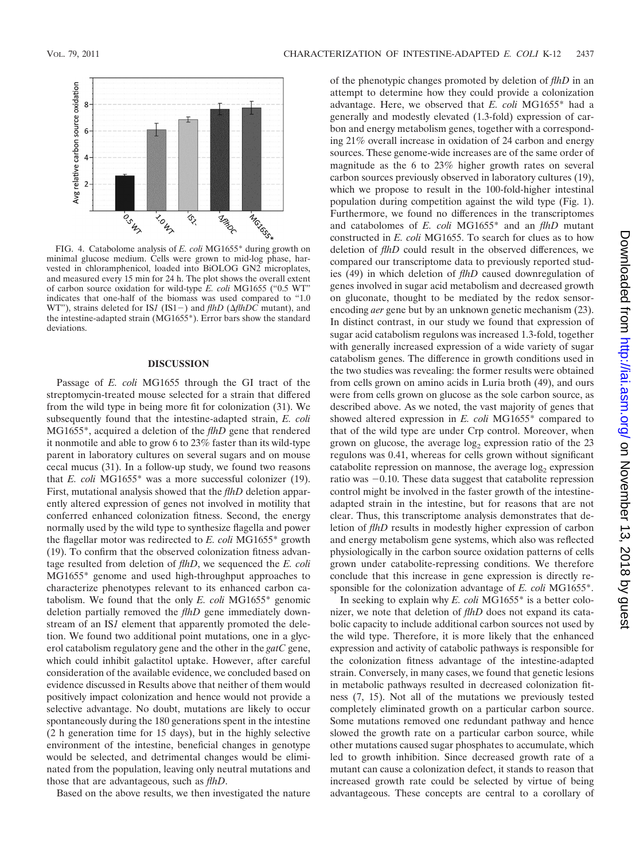

minimal glucose medium. Cells were grown to mid-log phase, harvested in chloramphenicol, loaded into BiOLOG GN2 microplates, and measured every 15 min for 24 h. The plot shows the overall extent of carbon source oxidation for wild-type *E. coli* MG1655 ("0.5 WT" indicates that one-half of the biomass was used compared to "1.0 WT"), strains deleted for IS*1* (IS1-) and *flhD* ( $\Delta f$ *lhDC* mutant), and the intestine-adapted strain (MG1655\*). Error bars show the standard deviations.

#### **DISCUSSION**

Passage of *E. coli* MG1655 through the GI tract of the streptomycin-treated mouse selected for a strain that differed from the wild type in being more fit for colonization (31). We subsequently found that the intestine-adapted strain, *E. coli* MG1655\*, acquired a deletion of the *flhD* gene that rendered it nonmotile and able to grow 6 to 23% faster than its wild-type parent in laboratory cultures on several sugars and on mouse cecal mucus (31). In a follow-up study, we found two reasons that *E. coli* MG1655\* was a more successful colonizer (19). First, mutational analysis showed that the *flhD* deletion apparently altered expression of genes not involved in motility that conferred enhanced colonization fitness. Second, the energy normally used by the wild type to synthesize flagella and power the flagellar motor was redirected to *E. coli* MG1655\* growth (19). To confirm that the observed colonization fitness advantage resulted from deletion of *flhD*, we sequenced the *E. coli* MG1655\* genome and used high-throughput approaches to characterize phenotypes relevant to its enhanced carbon catabolism. We found that the only *E. coli* MG1655\* genomic deletion partially removed the *flhD* gene immediately downstream of an IS*1* element that apparently promoted the deletion. We found two additional point mutations, one in a glycerol catabolism regulatory gene and the other in the *gatC* gene, which could inhibit galactitol uptake. However, after careful consideration of the available evidence, we concluded based on evidence discussed in Results above that neither of them would positively impact colonization and hence would not provide a selective advantage. No doubt, mutations are likely to occur spontaneously during the 180 generations spent in the intestine (2 h generation time for 15 days), but in the highly selective environment of the intestine, beneficial changes in genotype would be selected, and detrimental changes would be eliminated from the population, leaving only neutral mutations and those that are advantageous, such as *flhD*.

Based on the above results, we then investigated the nature

of the phenotypic changes promoted by deletion of *flhD* in an attempt to determine how they could provide a colonization advantage. Here, we observed that *E. coli* MG1655\* had a generally and modestly elevated (1.3-fold) expression of carbon and energy metabolism genes, together with a corresponding 21% overall increase in oxidation of 24 carbon and energy sources. These genome-wide increases are of the same order of magnitude as the 6 to 23% higher growth rates on several carbon sources previously observed in laboratory cultures (19), which we propose to result in the 100-fold-higher intestinal population during competition against the wild type (Fig. 1). Furthermore, we found no differences in the transcriptomes and catabolomes of *E. coli* MG1655\* and an *flhD* mutant constructed in *E. coli* MG1655. To search for clues as to how deletion of *flhD* could result in the observed differences, we compared our transcriptome data to previously reported studies (49) in which deletion of *flhD* caused downregulation of genes involved in sugar acid metabolism and decreased growth on gluconate, thought to be mediated by the redox sensorencoding *aer* gene but by an unknown genetic mechanism (23). In distinct contrast, in our study we found that expression of sugar acid catabolism regulons was increased 1.3-fold, together with generally increased expression of a wide variety of sugar catabolism genes. The difference in growth conditions used in the two studies was revealing: the former results were obtained from cells grown on amino acids in Luria broth (49), and ours were from cells grown on glucose as the sole carbon source, as described above. As we noted, the vast majority of genes that showed altered expression in *E. coli* MG1655\* compared to that of the wild type are under Crp control. Moreover, when grown on glucose, the average  $log<sub>2</sub>$  expression ratio of the 23 regulons was 0.41, whereas for cells grown without significant catabolite repression on mannose, the average  $log_2$  expression ratio was  $-0.10$ . These data suggest that catabolite repression control might be involved in the faster growth of the intestineadapted strain in the intestine, but for reasons that are not clear. Thus, this transcriptome analysis demonstrates that deletion of *flhD* results in modestly higher expression of carbon and energy metabolism gene systems, which also was reflected physiologically in the carbon source oxidation patterns of cells grown under catabolite-repressing conditions. We therefore conclude that this increase in gene expression is directly responsible for the colonization advantage of *E. coli* MG1655\*.

In seeking to explain why *E. coli* MG1655\* is a better colonizer, we note that deletion of *flhD* does not expand its catabolic capacity to include additional carbon sources not used by the wild type. Therefore, it is more likely that the enhanced expression and activity of catabolic pathways is responsible for the colonization fitness advantage of the intestine-adapted strain. Conversely, in many cases, we found that genetic lesions in metabolic pathways resulted in decreased colonization fitness (7, 15). Not all of the mutations we previously tested completely eliminated growth on a particular carbon source. Some mutations removed one redundant pathway and hence slowed the growth rate on a particular carbon source, while other mutations caused sugar phosphates to accumulate, which led to growth inhibition. Since decreased growth rate of a mutant can cause a colonization defect, it stands to reason that increased growth rate could be selected by virtue of being advantageous. These concepts are central to a corollary of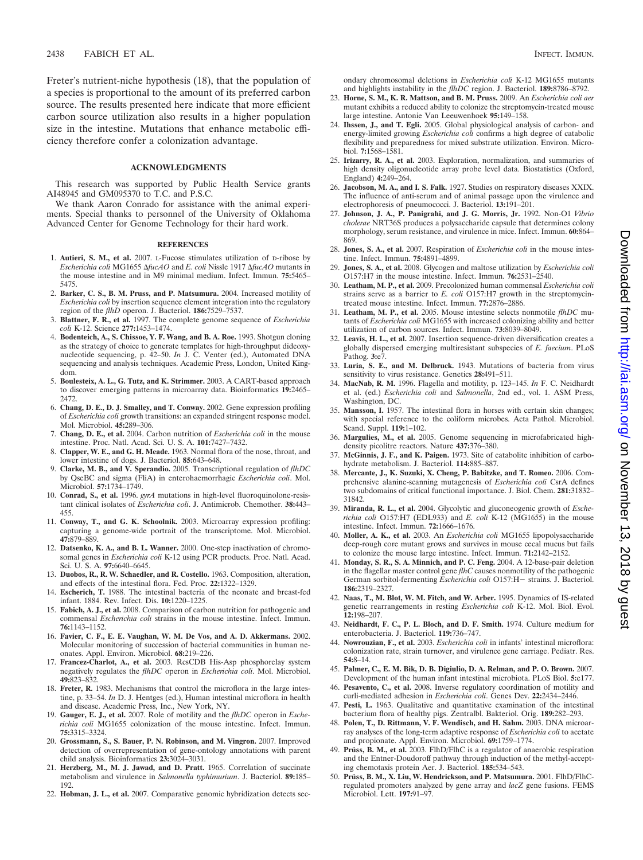Freter's nutrient-niche hypothesis (18), that the population of a species is proportional to the amount of its preferred carbon source. The results presented here indicate that more efficient carbon source utilization also results in a higher population size in the intestine. Mutations that enhance metabolic efficiency therefore confer a colonization advantage.

#### **ACKNOWLEDGMENTS**

This research was supported by Public Health Service grants AI48945 and GM095370 to T.C. and P.S.C.

We thank Aaron Conrado for assistance with the animal experiments. Special thanks to personnel of the University of Oklahoma Advanced Center for Genome Technology for their hard work.

#### **REFERENCES**

- 1. **Autieri, S. M., et al.** 2007. L-Fucose stimulates utilization of D-ribose by *Escherichia coli* MG1655 *fucAO* and *E. coli* Nissle 1917 *fucAO* mutants in the mouse intestine and in M9 minimal medium. Infect. Immun. **75:**5465– 5475.
- 2. **Barker, C. S., B. M. Pruss, and P. Matsumura.** 2004. Increased motility of *Escherichia coli* by insertion sequence element integration into the regulatory region of the *flhD* operon. J. Bacteriol. **186:**7529–7537.
- 3. **Blattner, F. R., et al.** 1997. The complete genome sequence of *Escherichia coli* K-12. Science **277:**1453–1474.
- 4. **Bodenteich, A., S. Chissoe, Y. F. Wang, and B. A. Roe.** 1993. Shotgun cloning as the strategy of choice to generate templates for high-throughput dideoxynucleotide sequencing, p. 42–50. *In* J. C. Venter (ed.), Automated DNA sequencing and analysis techniques. Academic Press, London, United Kingdom.
- 5. **Boulesteix, A. L., G. Tutz, and K. Strimmer.** 2003. A CART-based approach to discover emerging patterns in microarray data. Bioinformatics **19:**2465– 2472.
- 6. **Chang, D. E., D. J. Smalley, and T. Conway.** 2002. Gene expression profiling of *Escherichia coli* growth transitions: an expanded stringent response model. Mol. Microbiol. **45:**289–306.
- 7. **Chang, D. E., et al.** 2004. Carbon nutrition of *Escherichia coli* in the mouse intestine. Proc. Natl. Acad. Sci. U. S. A. **101:**7427–7432.
- 8. **Clapper, W. E., and G. H. Meade.** 1963. Normal flora of the nose, throat, and lower intestine of dogs. J. Bacteriol. **85:**643–648.
- 9. **Clarke, M. B., and V. Sperandio.** 2005. Transcriptional regulation of *flhDC* by QseBC and sigma (FliA) in enterohaemorrhagic *Escherichia coli*. Mol. Microbiol. **57:**1734–1749.
- 10. **Conrad, S., et al.** 1996. *gyrA* mutations in high-level fluoroquinolone-resistant clinical isolates of *Escherichia coli*. J. Antimicrob. Chemother. **38:**443– 455.
- 11. **Conway, T., and G. K. Schoolnik.** 2003. Microarray expression profiling: capturing a genome-wide portrait of the transcriptome. Mol. Microbiol. **47:**879–889.
- 12. **Datsenko, K. A., and B. L. Wanner.** 2000. One-step inactivation of chromosomal genes in *Escherichia coli* K-12 using PCR products. Proc. Natl. Acad. Sci. U. S. A. **97:**6640–6645.
- 13. **Duobos, R., R. W. Schaedler, and R. Costello.** 1963. Composition, alteration, and effects of the intestinal flora. Fed. Proc. **22:**1322–1329.
- 14. **Escherich, T.** 1988. The intestinal bacteria of the neonate and breast-fed infant. 1884. Rev. Infect. Dis. **10:**1220–1225.
- 15. **Fabich, A. J., et al.** 2008. Comparison of carbon nutrition for pathogenic and commensal *Escherichia coli* strains in the mouse intestine. Infect. Immun. **76:**1143–1152.
- 16. **Favier, C. F., E. E. Vaughan, W. M. De Vos, and A. D. Akkermans.** 2002. Molecular monitoring of succession of bacterial communities in human neonates. Appl. Environ. Microbiol. **68:**219–226.
- 17. **Francez-Charlot, A., et al.** 2003. RcsCDB His-Asp phosphorelay system negatively regulates the *flhDC* operon in *Escherichia coli*. Mol. Microbiol. **49:**823–832.
- 18. **Freter, R.** 1983. Mechanisms that control the microflora in the large intestine, p. 33–54. *In* D. J. Hentges (ed.), Human intestinal microflora in health and disease. Academic Press, Inc., New York, NY.
- 19. **Gauger, E. J., et al.** 2007. Role of motility and the *flhDC* operon in *Escherichia coli* MG1655 colonization of the mouse intestine. Infect. Immun. **75:**3315–3324.
- 20. **Grossmann, S., S. Bauer, P. N. Robinson, and M. Vingron.** 2007. Improved detection of overrepresentation of gene-ontology annotations with parent child analysis. Bioinformatics **23:**3024–3031.
- 21. **Herzberg, M., M. J. Jawad, and D. Pratt.** 1965. Correlation of succinate metabolism and virulence in *Salmonella typhimurium*. J. Bacteriol. **89:**185– 192.
- 22. **Hobman, J. L., et al.** 2007. Comparative genomic hybridization detects sec-

ondary chromosomal deletions in *Escherichia coli* K-12 MG1655 mutants and highlights instability in the *flhDC* region. J. Bacteriol. **189:**8786–8792.

- 23. **Horne, S. M., K. R. Mattson, and B. M. Pruss.** 2009. An *Escherichia coli aer* mutant exhibits a reduced ability to colonize the streptomycin-treated mouse large intestine. Antonie Van Leeuwenhoek **95:**149–158.
- 24. **Ihssen, J., and T. Egli.** 2005. Global physiological analysis of carbon- and energy-limited growing *Escherichia coli* confirms a high degree of catabolic flexibility and preparedness for mixed substrate utilization. Environ. Microbiol. **7:**1568–1581.
- 25. **Irizarry, R. A., et al.** 2003. Exploration, normalization, and summaries of high density oligonucleotide array probe level data. Biostatistics (Oxford, England) **4:**249–264.
- 26. **Jacobson, M. A., and I. S. Falk.** 1927. Studies on respiratory diseases XXIX. The influence of anti-serum and of animal passage upon the virulence and electrophoresis of pneumococci. J. Bacteriol. **13:**191–201.
- 27. **Johnson, J. A., P. Panigrahi, and J. G. Morris, Jr.** 1992. Non-O1 *Vibrio cholerae* NRT36S produces a polysaccharide capsule that determines colony morphology, serum resistance, and virulence in mice. Infect. Immun. **60:**864– 869.
- 28. **Jones, S. A., et al.** 2007. Respiration of *Escherichia coli* in the mouse intestine. Infect. Immun. **75:**4891–4899.
- 29. **Jones, S. A., et al.** 2008. Glycogen and maltose utilization by *Escherichia coli* O157:H7 in the mouse intestine. Infect. Immun. **76:**2531–2540.
- 30. **Leatham, M. P., et al.** 2009. Precolonized human commensal *Escherichia coli* strains serve as a barrier to *E. coli* O157:H7 growth in the streptomycintreated mouse intestine. Infect. Immun. **77:**2876–2886.
- 31. **Leatham, M. P., et al.** 2005. Mouse intestine selects nonmotile *flhDC* mutants of *Escherichia coli* MG1655 with increased colonizing ability and better utilization of carbon sources. Infect. Immun. **73:**8039–8049.
- 32. **Leavis, H. L., et al.** 2007. Insertion sequence-driven diversification creates a globally dispersed emerging multiresistant subspecies of *E. faecium*. PLoS Pathog. **3:**e7.
- 33. **Luria, S. E., and M. Delbruck.** 1943. Mutations of bacteria from virus sensitivity to virus resistance. Genetics **28:**491–511.
- 34. **MacNab, R. M.** 1996. Flagella and motility, p. 123–145. *In* F. C. Neidhardt et al. (ed.) *Escherichia coli* and *Salmonella*, 2nd ed., vol. 1. ASM Press, Washington, DC.
- 35. **Mansson, I.** 1957. The intestinal flora in horses with certain skin changes; with special reference to the coliform microbes. Acta Pathol. Microbiol. Scand. Suppl. **119:**1–102.
- 36. **Margulies, M., et al.** 2005. Genome sequencing in microfabricated highdensity picolitre reactors. Nature **437:**376–380.
- 37. **McGinnis, J. F., and K. Paigen.** 1973. Site of catabolite inhibition of carbohydrate metabolism. J. Bacteriol. **114:**885–887.
- 38. **Mercante, J., K. Suzuki, X. Cheng, P. Babitzke, and T. Romeo.** 2006. Comprehensive alanine-scanning mutagenesis of *Escherichia coli* CsrA defines two subdomains of critical functional importance. J. Biol. Chem. **281:**31832– 31842.
- 39. **Miranda, R. L., et al.** 2004. Glycolytic and gluconeogenic growth of *Escherichia coli* O157:H7 (EDL933) and *E. coli* K-12 (MG1655) in the mouse intestine. Infect. Immun. **72:**1666–1676.
- 40. **Moller, A. K., et al.** 2003. An *Escherichia coli* MG1655 lipopolysaccharide deep-rough core mutant grows and survives in mouse cecal mucus but fails to colonize the mouse large intestine. Infect. Immun. **71:**2142–2152.
- 41. **Monday, S. R., S. A. Minnich, and P. C. Feng.** 2004. A 12-base-pair deletion in the flagellar master control gene *flhC* causes nonmotility of the pathogenic German sorbitol-fermenting *Escherichia coli* O157:H- strains. J. Bacteriol. **186:**2319–2327.
- 42. **Naas, T., M. Blot, W. M. Fitch, and W. Arber.** 1995. Dynamics of IS-related genetic rearrangements in resting *Escherichia coli* K-12. Mol. Biol. Evol. **12:**198–207.
- 43. **Neidhardt, F. C., P. L. Bloch, and D. F. Smith.** 1974. Culture medium for enterobacteria. J. Bacteriol. **119:**736–747.
- 44. **Nowrouzian, F., et al.** 2003. *Escherichia coli* in infants' intestinal microflora: colonization rate, strain turnover, and virulence gene carriage. Pediatr. Res. **54:**8–14.
- 45. **Palmer, C., E. M. Bik, D. B. Digiulio, D. A. Relman, and P. O. Brown.** 2007. Development of the human infant intestinal microbiota. PLoS Biol. **5:**e177.
- 46. **Pesavento, C., et al.** 2008. Inverse regulatory coordination of motility and curli-mediated adhesion in *Escherichia coli*. Genes Dev. **22:**2434–2446.
- 47. **Pesti, L.** 1963. Qualitative and quantitative examination of the intestinal bacterium flora of healthy pigs. Zentralbl. Bakteriol. Orig. **189:**282–293.
- 48. **Polen, T., D. Rittmann, V. F. Wendisch, and H. Sahm.** 2003. DNA microarray analyses of the long-term adaptive response of *Escherichia coli* to acetate and propionate. Appl. Environ. Microbiol. **69:**1759–1774.
- 49. Prüss, B. M., et al. 2003. FlhD/FlhC is a regulator of anaerobic respiration and the Entner-Doudoroff pathway through induction of the methyl-accepting chemotaxis protein Aer. J. Bacteriol. **185:**534–543.
- 50. **Pru¨ss, B. M., X. Liu, W. Hendrickson, and P. Matsumura.** 2001. FlhD/FlhCregulated promoters analyzed by gene array and *lacZ* gene fusions. FEMS Microbiol. Lett. **197:**91–97.